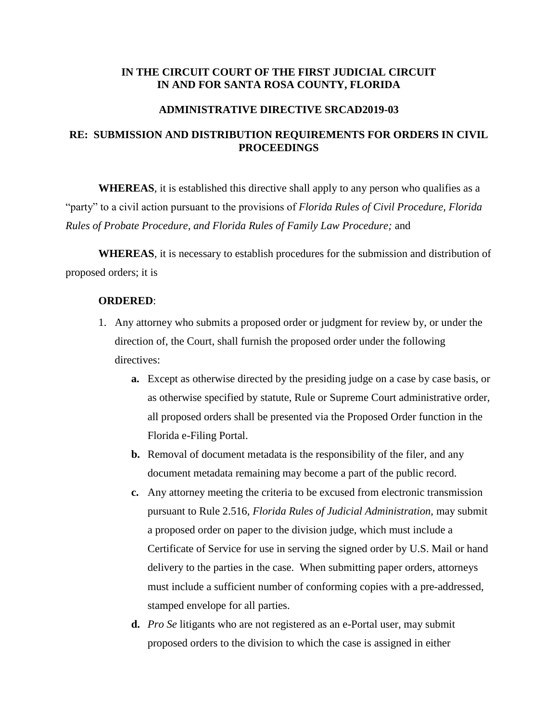## **IN THE CIRCUIT COURT OF THE FIRST JUDICIAL CIRCUIT IN AND FOR SANTA ROSA COUNTY, FLORIDA**

#### **ADMINISTRATIVE DIRECTIVE SRCAD2019-03**

# **RE: SUBMISSION AND DISTRIBUTION REQUIREMENTS FOR ORDERS IN CIVIL PROCEEDINGS**

**WHEREAS**, it is established this directive shall apply to any person who qualifies as a "party" to a civil action pursuant to the provisions of *Florida Rules of Civil Procedure, Florida Rules of Probate Procedure, and Florida Rules of Family Law Procedure;* and

**WHEREAS**, it is necessary to establish procedures for the submission and distribution of proposed orders; it is

### **ORDERED**:

- 1. Any attorney who submits a proposed order or judgment for review by, or under the direction of, the Court, shall furnish the proposed order under the following directives:
	- **a.** Except as otherwise directed by the presiding judge on a case by case basis, or as otherwise specified by statute, Rule or Supreme Court administrative order, all proposed orders shall be presented via the Proposed Order function in the Florida e-Filing Portal.
	- **b.** Removal of document metadata is the responsibility of the filer, and any document metadata remaining may become a part of the public record.
	- **c.** Any attorney meeting the criteria to be excused from electronic transmission pursuant to Rule 2.516, *Florida Rules of Judicial Administration,* may submit a proposed order on paper to the division judge, which must include a Certificate of Service for use in serving the signed order by U.S. Mail or hand delivery to the parties in the case. When submitting paper orders, attorneys must include a sufficient number of conforming copies with a pre-addressed, stamped envelope for all parties.
	- **d.** *Pro Se* litigants who are not registered as an e-Portal user, may submit proposed orders to the division to which the case is assigned in either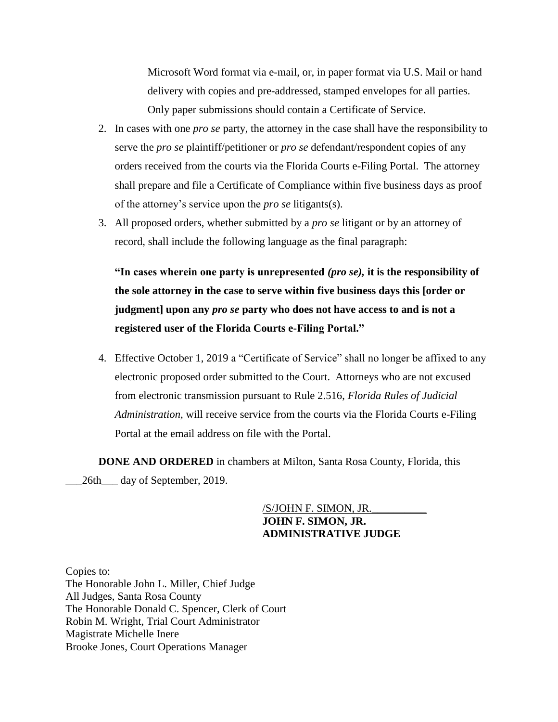Microsoft Word format via e-mail, or, in paper format via U.S. Mail or hand delivery with copies and pre-addressed, stamped envelopes for all parties. Only paper submissions should contain a Certificate of Service.

- 2. In cases with one *pro se* party, the attorney in the case shall have the responsibility to serve the *pro se* plaintiff/petitioner or *pro se* defendant/respondent copies of any orders received from the courts via the Florida Courts e-Filing Portal. The attorney shall prepare and file a Certificate of Compliance within five business days as proof of the attorney's service upon the *pro se* litigants(s).
- 3. All proposed orders, whether submitted by a *pro se* litigant or by an attorney of record, shall include the following language as the final paragraph:

**"In cases wherein one party is unrepresented** *(pro se),* **it is the responsibility of the sole attorney in the case to serve within five business days this [order or judgment] upon any** *pro se* **party who does not have access to and is not a registered user of the Florida Courts e-Filing Portal."**

4. Effective October 1, 2019 a "Certificate of Service" shall no longer be affixed to any electronic proposed order submitted to the Court. Attorneys who are not excused from electronic transmission pursuant to Rule 2.516, *Florida Rules of Judicial Administration,* will receive service from the courts via the Florida Courts e-Filing Portal at the email address on file with the Portal.

**DONE AND ORDERED** in chambers at Milton, Santa Rosa County, Florida, this \_\_\_26th\_\_\_ day of September, 2019.

## /S/JOHN F. SIMON, JR.\_\_\_\_\_\_\_\_\_\_ **JOHN F. SIMON, JR. ADMINISTRATIVE JUDGE**

Copies to: The Honorable John L. Miller, Chief Judge All Judges, Santa Rosa County The Honorable Donald C. Spencer, Clerk of Court Robin M. Wright, Trial Court Administrator Magistrate Michelle Inere Brooke Jones, Court Operations Manager